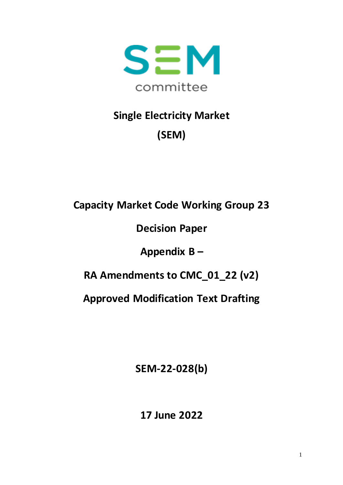

# **Single Electricity Market (SEM)**

**Capacity Market Code Working Group 23**

**Decision Paper** 

**Appendix B –**

**RA Amendments to CMC\_01\_22 (v2)**

**Approved Modification Text Drafting**

**SEM-22-028(b)**

**17 June 2022**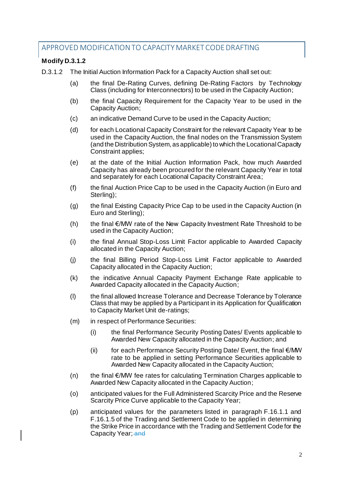# APPROVED MODIFICATION TO CAPACITY MARKET CODE DRAFTING

## **Modify D.3.1.2**

D.3.1.2 The Initial Auction Information Pack for a Capacity Auction shall set out:

- (a) the final De-Rating Curves, defining De-Rating Factors by Technology Class (including for Interconnectors) to be used in the Capacity Auction;
- (b) the final Capacity Requirement for the Capacity Year to be used in the Capacity Auction;
- (c) an indicative Demand Curve to be used in the Capacity Auction;
- (d) for each Locational Capacity Constraint for the relevant Capacity Year to be used in the Capacity Auction, the final nodes on the Transmission System (and the Distribution System, as applicable) to which the Locational Capacity Constraint applies;
- (e) at the date of the Initial Auction Information Pack, how much Awarded Capacity has already been procured for the relevant Capacity Year in total and separately for each Locational Capacity Constraint Area;
- (f) the final Auction Price Cap to be used in the Capacity Auction (in Euro and Sterling);
- (g) the final Existing Capacity Price Cap to be used in the Capacity Auction (in Euro and Sterling);
- (h) the final  $\epsilon$ /MW rate of the New Capacity Investment Rate Threshold to be used in the Capacity Auction;
- (i) the final Annual Stop-Loss Limit Factor applicable to Awarded Capacity allocated in the Capacity Auction;
- (j) the final Billing Period Stop-Loss Limit Factor applicable to Awarded Capacity allocated in the Capacity Auction;
- (k) the indicative Annual Capacity Payment Exchange Rate applicable to Awarded Capacity allocated in the Capacity Auction;
- (l) the final allowed Increase Tolerance and Decrease Tolerance by Tolerance Class that may be applied by a Participant in its Application for Qualification to Capacity Market Unit de-ratings;
- (m) in respect of Performance Securities:
	- (i) the final Performance Security Posting Dates/ Events applicable to Awarded New Capacity allocated in the Capacity Auction; and
	- (ii) for each Performance Security Posting Date/ Event, the final  $\epsilon$ /MW rate to be applied in setting Performance Securities applicable to Awarded New Capacity allocated in the Capacity Auction;
- $(n)$  the final  $\epsilon$ /MW fee rates for calculating Termination Charges applicable to Awarded New Capacity allocated in the Capacity Auction;
- (o) anticipated values for the Full Administered Scarcity Price and the Reserve Scarcity Price Curve applicable to the Capacity Year;
- (p) anticipated values for the parameters listed in paragraph F.16.1.1 and F.16.1.5 of the Trading and Settlement Code to be applied in determining the Strike Price in accordance with the Trading and Settlement Code for the Capacity Year; and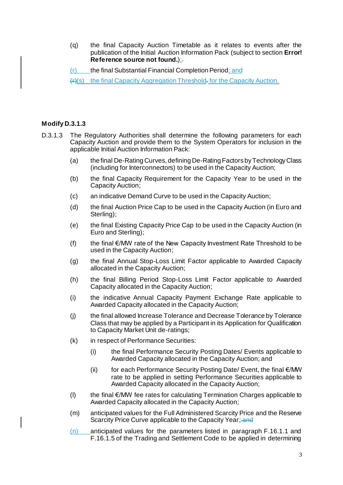(q) the final Capacity Auction Timetable as it relates to events after the publication of the Initial Auction Information Pack (subject to section **Error! Reference source not found.):** 

(r) the final Substantial Financial Completion Period; and

(r)(s) the final Capacity Aggregation Threshold. for the Capacity Auction.

## **Modify D.3.1.3**

- D.3.1.3 The Regulatory Authorities shall determine the following parameters for each Capacity Auction and provide them to the System Operators for inclusion in the applicable Initial Auction Information Pack:
	- (a) the final De-Rating Curves, defining De-Rating Factors by Technology Class (including for Interconnectors) to be used in the Capacity Auction;
	- (b) the final Capacity Requirement for the Capacity Year to be used in the Capacity Auction;
	- (c) an indicative Demand Curve to be used in the Capacity Auction;
	- (d) the final Auction Price Cap to be used in the Capacity Auction (in Euro and Sterling);
	- (e) the final Existing Capacity Price Cap to be used in the Capacity Auction (in Euro and Sterling);
	- (f) the final  $\epsilon$ /MW rate of the New Capacity Investment Rate Threshold to be used in the Capacity Auction;
	- (g) the final Annual Stop-Loss Limit Factor applicable to Awarded Capacity allocated in the Capacity Auction;
	- (h) the final Billing Period Stop-Loss Limit Factor applicable to Awarded Capacity allocated in the Capacity Auction;
	- (i) the indicative Annual Capacity Payment Exchange Rate applicable to Awarded Capacity allocated in the Capacity Auction;
	- (j) the final allowed Increase Tolerance and Decrease Tolerance by Tolerance Class that may be applied by a Participant in its Application for Qualification to Capacity Market Unit de-ratings;
	- (k) in respect of Performance Securities:
		- (i) the final Performance Security Posting Dates/ Events applicable to Awarded Capacity allocated in the Capacity Auction; and
		- (ii) for each Performance Security Posting Date/ Event, the final  $\notin$ /MW rate to be applied in setting Performance Securities applicable to Awarded Capacity allocated in the Capacity Auction;
	- (l) the final €/MW fee rates for calculating Termination Charges applicable to Awarded Capacity allocated in the Capacity Auction;
	- (m) anticipated values for the Full Administered Scarcity Price and the Reserve Scarcity Price Curve applicable to the Capacity Year; and
	- (n) anticipated values for the parameters listed in paragraph F.16.1.1 and F.16.1.5 of the Trading and Settlement Code to be applied in determining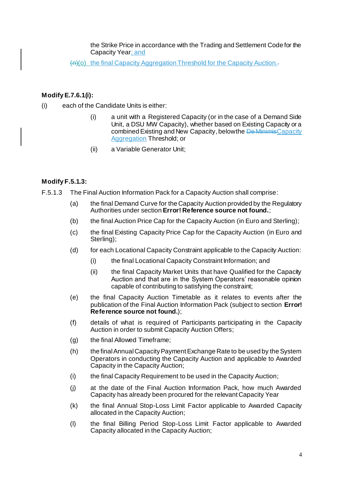the Strike Price in accordance with the Trading and Settlement Code for the Capacity Year; and

(n)(o) the final Capacity Aggregation Threshold for the Capacity Auction.-

## **Modify E.7.6.1(i):**

- (i) each of the Candidate Units is either:
	- (i) a unit with a Registered Capacity (or in the case of a Demand Side Unit, a DSU MW Capacity), whether based on Existing Capacity or a combined Existing and New Capacity, below the De MinimisCapacity Aggregation Threshold; or
	- (ii) a Variable Generator Unit;

## **Modify F.5.1.3:**

- F.5.1.3 The Final Auction Information Pack for a Capacity Auction shall comprise:
	- (a) the final Demand Curve for the Capacity Auction provided by the Regulatory Authorities under section **Error! Reference source not found.**;
	- (b) the final Auction Price Cap for the Capacity Auction (in Euro and Sterling);
	- (c) the final Existing Capacity Price Cap for the Capacity Auction (in Euro and Sterling);
	- (d) for each Locational Capacity Constraint applicable to the Capacity Auction:
		- (i) the final Locational Capacity Constraint Information; and
		- (ii) the final Capacity Market Units that have Qualified for the Capacity Auction and that are in the System Operators' reasonable opinion capable of contributing to satisfying the constraint;
	- (e) the final Capacity Auction Timetable as it relates to events after the publication of the Final Auction Information Pack (subject to section **Error! Reference source not found.**);
	- (f) details of what is required of Participants participating in the Capacity Auction in order to submit Capacity Auction Offers;
	- (g) the final Allowed Timeframe;
	- (h) the final Annual Capacity Payment Exchange Rate to be used by the System Operators in conducting the Capacity Auction and applicable to Awarded Capacity in the Capacity Auction;
	- (i) the final Capacity Requirement to be used in the Capacity Auction;
	- (j) at the date of the Final Auction Information Pack, how much Awarded Capacity has already been procured for the relevant Capacity Year
	- (k) the final Annual Stop-Loss Limit Factor applicable to Awarded Capacity allocated in the Capacity Auction;
	- (l) the final Billing Period Stop-Loss Limit Factor applicable to Awarded Capacity allocated in the Capacity Auction;